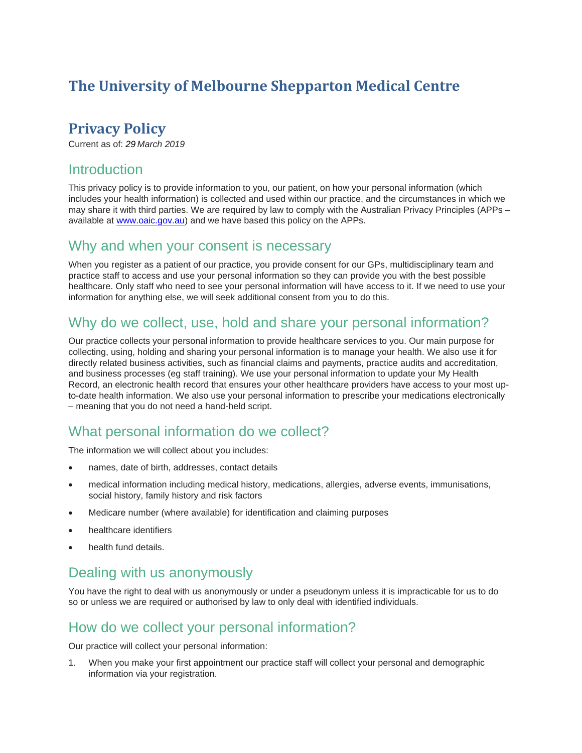# **The University of Melbourne Shepparton Medical Centre**

## **Privacy Policy**

Current as of: *29 March 2019*

### **Introduction**

This privacy policy is to provide information to you, our patient, on how your personal information (which includes your health information) is collected and used within our practice, and the circumstances in which we may share it with third parties. We are required by law to comply with the Australian Privacy Principles (APPs – available at [www.oaic.gov.au\)](http://www.oaic.gov.au/) and we have based this policy on the APPs.

#### Why and when your consent is necessary

When you register as a patient of our practice, you provide consent for our GPs, multidisciplinary team and practice staff to access and use your personal information so they can provide you with the best possible healthcare. Only staff who need to see your personal information will have access to it. If we need to use your information for anything else, we will seek additional consent from you to do this.

## Why do we collect, use, hold and share your personal information?

Our practice collects your personal information to provide healthcare services to you. Our main purpose for collecting, using, holding and sharing your personal information is to manage your health. We also use it for directly related business activities, such as financial claims and payments, practice audits and accreditation, and business processes (eg staff training). We use your personal information to update your My Health Record, an electronic health record that ensures your other healthcare providers have access to your most upto-date health information. We also use your personal information to prescribe your medications electronically – meaning that you do not need a hand-held script.

### What personal information do we collect?

The information we will collect about you includes:

- names, date of birth, addresses, contact details
- medical information including medical history, medications, allergies, adverse events, immunisations, social history, family history and risk factors
- Medicare number (where available) for identification and claiming purposes
- healthcare identifiers
- health fund details.

### Dealing with us anonymously

You have the right to deal with us anonymously or under a pseudonym unless it is impracticable for us to do so or unless we are required or authorised by law to only deal with identified individuals.

#### How do we collect your personal information?

Our practice will collect your personal information:

1. When you make your first appointment our practice staff will collect your personal and demographic information via your registration.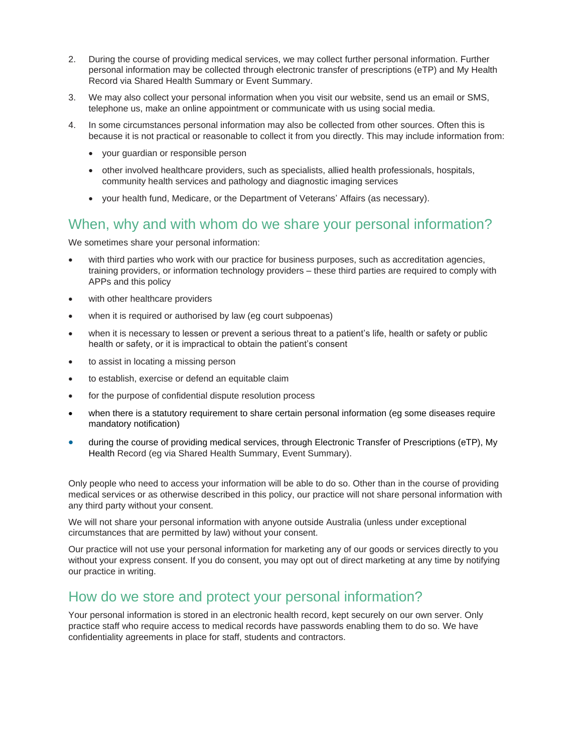- 2. During the course of providing medical services, we may collect further personal information. Further personal information may be collected through electronic transfer of prescriptions (eTP) and My Health Record via Shared Health Summary or Event Summary.
- 3. We may also collect your personal information when you visit our website, send us an email or SMS, telephone us, make an online appointment or communicate with us using social media.
- 4. In some circumstances personal information may also be collected from other sources. Often this is because it is not practical or reasonable to collect it from you directly. This may include information from:
	- your guardian or responsible person
	- other involved healthcare providers, such as specialists, allied health professionals, hospitals, community health services and pathology and diagnostic imaging services
	- your health fund, Medicare, or the Department of Veterans' Affairs (as necessary).

#### When, why and with whom do we share your personal information?

We sometimes share your personal information:

- with third parties who work with our practice for business purposes, such as accreditation agencies, training providers, or information technology providers – these third parties are required to comply with APPs and this policy
- with other healthcare providers
- when it is required or authorised by law (eg court subpoenas)
- when it is necessary to lessen or prevent a serious threat to a patient's life, health or safety or public health or safety, or it is impractical to obtain the patient's consent
- to assist in locating a missing person
- to establish, exercise or defend an equitable claim
- for the purpose of confidential dispute resolution process
- when there is a statutory requirement to share certain personal information (eg some diseases require mandatory notification)
- during the course of providing medical services, through Electronic Transfer of Prescriptions (eTP), My Health Record (eg via Shared Health Summary, Event Summary).

Only people who need to access your information will be able to do so. Other than in the course of providing medical services or as otherwise described in this policy, our practice will not share personal information with any third party without your consent.

We will not share your personal information with anyone outside Australia (unless under exceptional circumstances that are permitted by law) without your consent.

Our practice will not use your personal information for marketing any of our goods or services directly to you without your express consent. If you do consent, you may opt out of direct marketing at any time by notifying our practice in writing.

#### How do we store and protect your personal information?

Your personal information is stored in an electronic health record, kept securely on our own server. Only practice staff who require access to medical records have passwords enabling them to do so. We have confidentiality agreements in place for staff, students and contractors.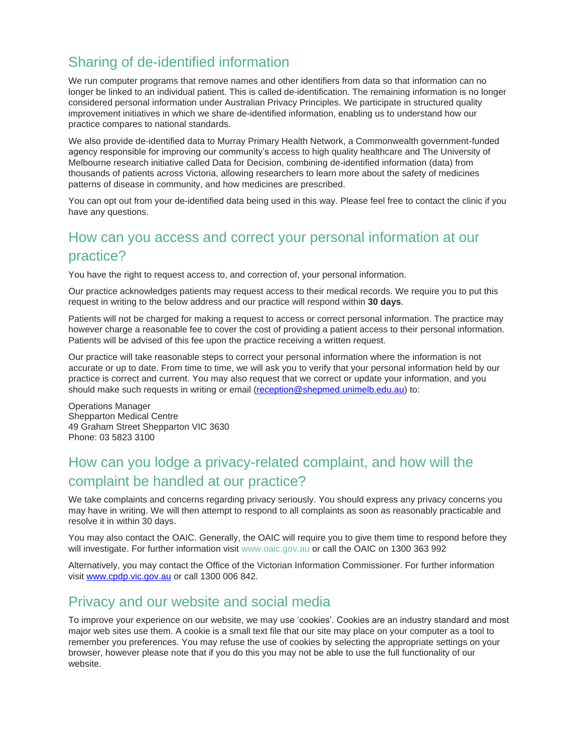# Sharing of de-identified information

We run computer programs that remove names and other identifiers from data so that information can no longer be linked to an individual patient. This is called de-identification. The remaining information is no longer considered personal information under Australian Privacy Principles. We participate in structured quality improvement initiatives in which we share de-identified information, enabling us to understand how our practice compares to national standards.

We also provide de-identified data to Murray Primary Health Network, a Commonwealth government-funded agency responsible for improving our community's access to high quality healthcare and The University of Melbourne research initiative called Data for Decision, combining de-identified information (data) from thousands of patients across Victoria, allowing researchers to learn more about the safety of medicines patterns of disease in community, and how medicines are prescribed.

You can opt out from your de-identified data being used in this way. Please feel free to contact the clinic if you have any questions.

## How can you access and correct your personal information at our practice?

You have the right to request access to, and correction of, your personal information.

Our practice acknowledges patients may request access to their medical records. We require you to put this request in writing to the below address and our practice will respond within **30 days**.

Patients will not be charged for making a request to access or correct personal information. The practice may however charge a reasonable fee to cover the cost of providing a patient access to their personal information. Patients will be advised of this fee upon the practice receiving a written request.

Our practice will take reasonable steps to correct your personal information where the information is not accurate or up to date. From time to time, we will ask you to verify that your personal information held by our practice is correct and current. You may also request that we correct or update your information, and you should make such requests in writing or email [\(reception@shepmed.unimelb.edu.au\)](mailto:reception@shepmed.unimelb.edu.au) to:

Operations Manager Shepparton Medical Centre 49 Graham Street Shepparton VIC 3630 Phone: 03 5823 3100

## How can you lodge a privacy-related complaint, and how will the complaint be handled at our practice?

We take complaints and concerns regarding privacy seriously. You should express any privacy concerns you may have in writing. We will then attempt to respond to all complaints as soon as reasonably practicable and resolve it in within 30 days.

You may also contact the OAIC. Generally, the OAIC will require you to give them time to respond before they will investigate. For further information visit [www.oaic.gov.au](http://www.oaic.gov.au/) or call the OAIC on 1300 363 992

Alternatively, you may contact the Office of the Victorian Information Commissioner. For further information visit [www.cpdp.vic.gov.au](http://www.cpdp.vic.gov.au/) or call 1300 006 842.

### Privacy and our website and social media

To improve your experience on our website, we may use 'cookies'. Cookies are an industry standard and most major web sites use them. A cookie is a small text file that our site may place on your computer as a tool to remember you preferences. You may refuse the use of cookies by selecting the appropriate settings on your browser, however please note that if you do this you may not be able to use the full functionality of our website.